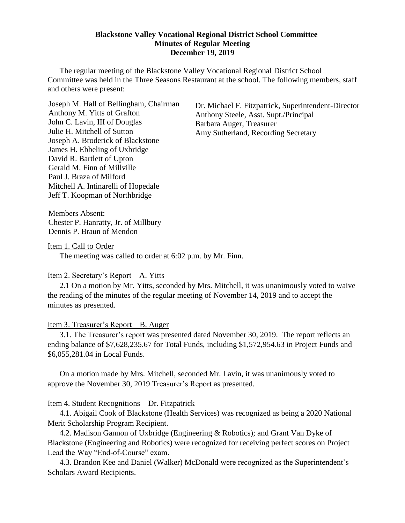#### **Blackstone Valley Vocational Regional District School Committee Minutes of Regular Meeting December 19, 2019**

The regular meeting of the Blackstone Valley Vocational Regional District School Committee was held in the Three Seasons Restaurant at the school. The following members, staff and others were present:

Joseph M. Hall of Bellingham, Chairman Anthony M. Yitts of Grafton John C. Lavin, III of Douglas Julie H. Mitchell of Sutton Joseph A. Broderick of Blackstone James H. Ebbeling of Uxbridge David R. Bartlett of Upton Gerald M. Finn of Millville Paul J. Braza of Milford Mitchell A. Intinarelli of Hopedale Jeff T. Koopman of Northbridge

Dr. Michael F. Fitzpatrick, Superintendent-Director Anthony Steele, Asst. Supt./Principal Barbara Auger, Treasurer Amy Sutherland, Recording Secretary

Members Absent: Chester P. Hanratty, Jr. of Millbury Dennis P. Braun of Mendon

Item 1. Call to Order

The meeting was called to order at 6:02 p.m. by Mr. Finn.

### Item 2. Secretary's Report – A. Yitts

2.1 On a motion by Mr. Yitts, seconded by Mrs. Mitchell, it was unanimously voted to waive the reading of the minutes of the regular meeting of November 14, 2019 and to accept the minutes as presented.

### Item 3. Treasurer's Report – B. Auger

3.1. The Treasurer's report was presented dated November 30, 2019. The report reflects an ending balance of \$7,628,235.67 for Total Funds, including \$1,572,954.63 in Project Funds and \$6,055,281.04 in Local Funds.

On a motion made by Mrs. Mitchell, seconded Mr. Lavin, it was unanimously voted to approve the November 30, 2019 Treasurer's Report as presented.

### Item 4. Student Recognitions – Dr. Fitzpatrick

4.1. Abigail Cook of Blackstone (Health Services) was recognized as being a 2020 National Merit Scholarship Program Recipient.

4.2. Madison Gannon of Uxbridge (Engineering & Robotics); and Grant Van Dyke of Blackstone (Engineering and Robotics) were recognized for receiving perfect scores on Project Lead the Way "End-of-Course" exam.

4.3. Brandon Kee and Daniel (Walker) McDonald were recognized as the Superintendent's Scholars Award Recipients.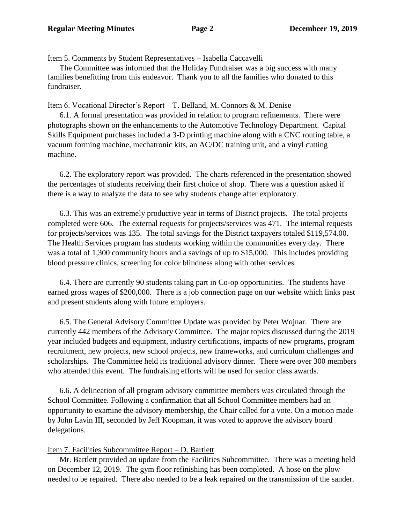## Item 5. Comments by Student Representatives – Isabella Caccavelli

The Committee was informed that the Holiday Fundraiser was a big success with many families benefitting from this endeavor. Thank you to all the families who donated to this fundraiser.

## Item 6. Vocational Director's Report – T. Belland, M. Connors & M. Denise

6.1. A formal presentation was provided in relation to program refinements. There were photographs shown on the enhancements to the Automotive Technology Department. Capital Skills Equipment purchases included a 3-D printing machine along with a CNC routing table, a vacuum forming machine, mechatronic kits, an AC/DC training unit, and a vinyl cutting machine.

6.2. The exploratory report was provided. The charts referenced in the presentation showed the percentages of students receiving their first choice of shop. There was a question asked if there is a way to analyze the data to see why students change after exploratory.

6.3. This was an extremely productive year in terms of District projects. The total projects completed were 606. The external requests for projects/services was 471. The internal requests for projects/services was 135. The total savings for the District taxpayers totaled \$119,574.00. The Health Services program has students working within the communities every day. There was a total of 1,300 community hours and a savings of up to \$15,000. This includes providing blood pressure clinics, screening for color blindness along with other services.

6.4. There are currently 90 students taking part in Co-op opportunities. The students have earned gross wages of \$200,000. There is a job connection page on our website which links past and present students along with future employers.

6.5. The General Advisory Committee Update was provided by Peter Wojnar. There are currently 442 members of the Advisory Committee. The major topics discussed during the 2019 year included budgets and equipment, industry certifications, impacts of new programs, program recruitment, new projects, new school projects, new frameworks, and curriculum challenges and scholarships. The Committee held its traditional advisory dinner. There were over 300 members who attended this event. The fundraising efforts will be used for senior class awards.

6.6. A delineation of all program advisory committee members was circulated through the School Committee. Following a confirmation that all School Committee members had an opportunity to examine the advisory membership, the Chair called for a vote. On a motion made by John Lavin III, seconded by Jeff Koopman, it was voted to approve the advisory board delegations.

# Item 7. Facilities Subcommittee Report – D. Bartlett

Mr. Bartlett provided an update from the Facilities Subcommittee. There was a meeting held on December 12, 2019. The gym floor refinishing has been completed. A hose on the plow needed to be repaired. There also needed to be a leak repaired on the transmission of the sander.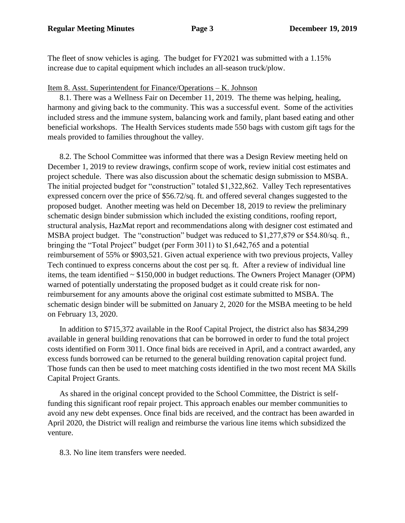The fleet of snow vehicles is aging. The budget for FY2021 was submitted with a 1.15% increase due to capital equipment which includes an all-season truck/plow.

### Item 8. Asst. Superintendent for Finance/Operations – K. Johnson

8.1. There was a Wellness Fair on December 11, 2019. The theme was helping, healing, harmony and giving back to the community. This was a successful event. Some of the activities included stress and the immune system, balancing work and family, plant based eating and other beneficial workshops. The Health Services students made 550 bags with custom gift tags for the meals provided to families throughout the valley.

8.2. The School Committee was informed that there was a Design Review meeting held on December 1, 2019 to review drawings, confirm scope of work, review initial cost estimates and project schedule. There was also discussion about the schematic design submission to MSBA. The initial projected budget for "construction" totaled \$1,322,862. Valley Tech representatives expressed concern over the price of \$56.72/sq. ft. and offered several changes suggested to the proposed budget. Another meeting was held on December 18, 2019 to review the preliminary schematic design binder submission which included the existing conditions, roofing report, structural analysis, HazMat report and recommendations along with designer cost estimated and MSBA project budget. The "construction" budget was reduced to \$1,277,879 or \$54.80/sq. ft., bringing the "Total Project" budget (per Form 3011) to \$1,642,765 and a potential reimbursement of 55% or \$903,521. Given actual experience with two previous projects, Valley Tech continued to express concerns about the cost per sq. ft. After a review of individual line items, the team identified ~ \$150,000 in budget reductions. The Owners Project Manager (OPM) warned of potentially understating the proposed budget as it could create risk for nonreimbursement for any amounts above the original cost estimate submitted to MSBA. The schematic design binder will be submitted on January 2, 2020 for the MSBA meeting to be held on February 13, 2020.

In addition to \$715,372 available in the Roof Capital Project, the district also has \$834,299 available in general building renovations that can be borrowed in order to fund the total project costs identified on Form 3011. Once final bids are received in April, and a contract awarded, any excess funds borrowed can be returned to the general building renovation capital project fund. Those funds can then be used to meet matching costs identified in the two most recent MA Skills Capital Project Grants.

As shared in the original concept provided to the School Committee, the District is selffunding this significant roof repair project. This approach enables our member communities to avoid any new debt expenses. Once final bids are received, and the contract has been awarded in April 2020, the District will realign and reimburse the various line items which subsidized the venture.

8.3. No line item transfers were needed.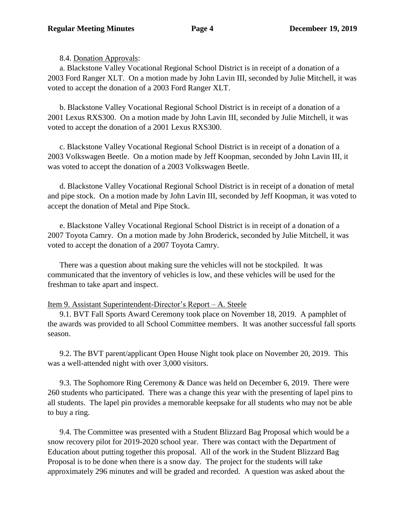8.4. Donation Approvals:

a. Blackstone Valley Vocational Regional School District is in receipt of a donation of a 2003 Ford Ranger XLT. On a motion made by John Lavin III, seconded by Julie Mitchell, it was voted to accept the donation of a 2003 Ford Ranger XLT.

b. Blackstone Valley Vocational Regional School District is in receipt of a donation of a 2001 Lexus RXS300. On a motion made by John Lavin III, seconded by Julie Mitchell, it was voted to accept the donation of a 2001 Lexus RXS300.

c. Blackstone Valley Vocational Regional School District is in receipt of a donation of a 2003 Volkswagen Beetle. On a motion made by Jeff Koopman, seconded by John Lavin III, it was voted to accept the donation of a 2003 Volkswagen Beetle.

d. Blackstone Valley Vocational Regional School District is in receipt of a donation of metal and pipe stock. On a motion made by John Lavin III, seconded by Jeff Koopman, it was voted to accept the donation of Metal and Pipe Stock.

e. Blackstone Valley Vocational Regional School District is in receipt of a donation of a 2007 Toyota Camry. On a motion made by John Broderick, seconded by Julie Mitchell, it was voted to accept the donation of a 2007 Toyota Camry.

There was a question about making sure the vehicles will not be stockpiled. It was communicated that the inventory of vehicles is low, and these vehicles will be used for the freshman to take apart and inspect.

# Item 9. Assistant Superintendent-Director's Report – A. Steele

9.1. BVT Fall Sports Award Ceremony took place on November 18, 2019. A pamphlet of the awards was provided to all School Committee members. It was another successful fall sports season.

9.2. The BVT parent/applicant Open House Night took place on November 20, 2019. This was a well-attended night with over 3,000 visitors.

9.3. The Sophomore Ring Ceremony & Dance was held on December 6, 2019. There were 260 students who participated. There was a change this year with the presenting of lapel pins to all students. The lapel pin provides a memorable keepsake for all students who may not be able to buy a ring.

9.4. The Committee was presented with a Student Blizzard Bag Proposal which would be a snow recovery pilot for 2019-2020 school year. There was contact with the Department of Education about putting together this proposal. All of the work in the Student Blizzard Bag Proposal is to be done when there is a snow day. The project for the students will take approximately 296 minutes and will be graded and recorded. A question was asked about the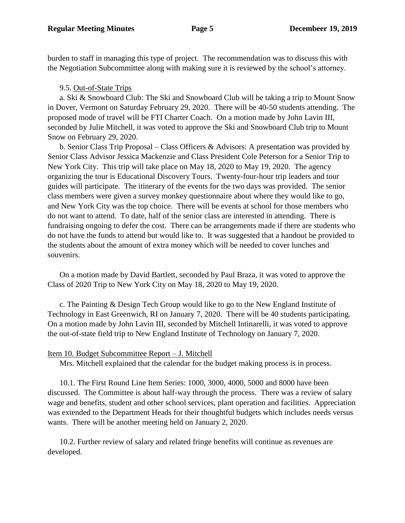burden to staff in managing this type of project. The recommendation was to discuss this with the Negotiation Subcommittee along with making sure it is reviewed by the school's attorney.

## 9.5. Out-of-State Trips

a. Ski & Snowboard Club: The Ski and Snowboard Club will be taking a trip to Mount Snow in Dover, Vermont on Saturday February 29, 2020. There will be 40-50 students attending. The proposed mode of travel will be FTI Charter Coach. On a motion made by John Lavin III, seconded by Julie Mitchell, it was voted to approve the Ski and Snowboard Club trip to Mount Snow on February 29, 2020.

b. Senior Class Trip Proposal – Class Officers & Advisors: A presentation was provided by Senior Class Advisor Jessica Mackenzie and Class President Cole Peterson for a Senior Trip to New York City. This trip will take place on May 18, 2020 to May 19, 2020. The agency organizing the tour is Educational Discovery Tours. Twenty-four-hour trip leaders and tour guides will participate. The itinerary of the events for the two days was provided. The senior class members were given a survey monkey questionnaire about where they would like to go, and New York City was the top choice. There will be events at school for those members who do not want to attend. To date, half of the senior class are interested in attending. There is fundraising ongoing to defer the cost. There can be arrangements made if there are students who do not have the funds to attend but would like to. It was suggested that a handout be provided to the students about the amount of extra money which will be needed to cover lunches and souvenirs.

On a motion made by David Bartlett, seconded by Paul Braza, it was voted to approve the Class of 2020 Trip to New York City on May 18, 2020 to May 19, 2020.

c. The Painting & Design Tech Group would like to go to the New England Institute of Technology in East Greenwich, RI on January 7, 2020. There will be 40 students participating. On a motion made by John Lavin III, seconded by Mitchell Intinarelli, it was voted to approve the out-of-state field trip to New England Institute of Technology on January 7, 2020.

# Item 10. Budget Subcommittee Report – J. Mitchell

Mrs. Mitchell explained that the calendar for the budget making process is in process.

10.1. The First Round Line Item Series: 1000, 3000, 4000, 5000 and 8000 have been discussed. The Committee is about half-way through the process. There was a review of salary wage and benefits, student and other school services, plant operation and facilities. Appreciation was extended to the Department Heads for their thoughtful budgets which includes needs versus wants. There will be another meeting held on January 2, 2020.

10.2. Further review of salary and related fringe benefits will continue as revenues are developed.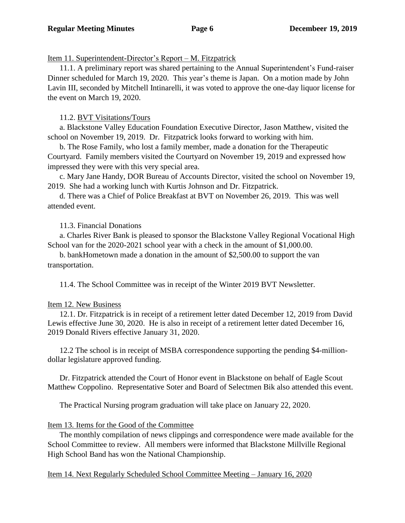Item 11. Superintendent-Director's Report – M. Fitzpatrick

11.1. A preliminary report was shared pertaining to the Annual Superintendent's Fund-raiser Dinner scheduled for March 19, 2020. This year's theme is Japan. On a motion made by John Lavin III, seconded by Mitchell Intinarelli, it was voted to approve the one-day liquor license for the event on March 19, 2020.

11.2. BVT Visitations/Tours

a. Blackstone Valley Education Foundation Executive Director, Jason Matthew, visited the school on November 19, 2019. Dr. Fitzpatrick looks forward to working with him.

b. The Rose Family, who lost a family member, made a donation for the Therapeutic Courtyard. Family members visited the Courtyard on November 19, 2019 and expressed how impressed they were with this very special area.

c. Mary Jane Handy, DOR Bureau of Accounts Director, visited the school on November 19, 2019. She had a working lunch with Kurtis Johnson and Dr. Fitzpatrick.

d. There was a Chief of Police Breakfast at BVT on November 26, 2019. This was well attended event.

# 11.3. Financial Donations

a. Charles River Bank is pleased to sponsor the Blackstone Valley Regional Vocational High School van for the 2020-2021 school year with a check in the amount of \$1,000.00.

b. bankHometown made a donation in the amount of \$2,500.00 to support the van transportation.

11.4. The School Committee was in receipt of the Winter 2019 BVT Newsletter.

# Item 12. New Business

12.1. Dr. Fitzpatrick is in receipt of a retirement letter dated December 12, 2019 from David Lewis effective June 30, 2020. He is also in receipt of a retirement letter dated December 16, 2019 Donald Rivers effective January 31, 2020.

12.2 The school is in receipt of MSBA correspondence supporting the pending \$4-milliondollar legislature approved funding.

Dr. Fitzpatrick attended the Court of Honor event in Blackstone on behalf of Eagle Scout Matthew Coppolino. Representative Soter and Board of Selectmen Bik also attended this event.

The Practical Nursing program graduation will take place on January 22, 2020.

# Item 13. Items for the Good of the Committee

The monthly compilation of news clippings and correspondence were made available for the School Committee to review. All members were informed that Blackstone Millville Regional High School Band has won the National Championship.

Item 14. Next Regularly Scheduled School Committee Meeting – January 16, 2020